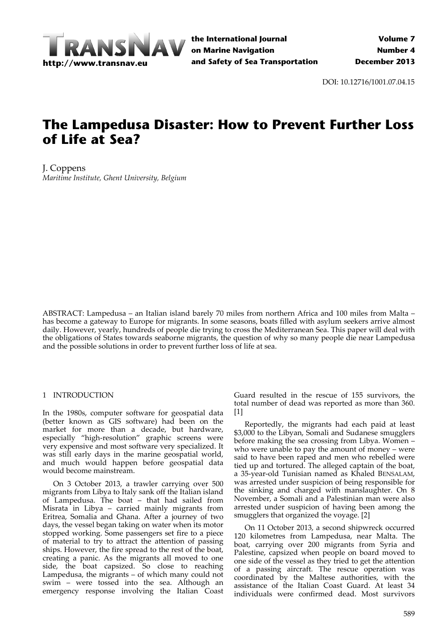

DOI: 10.12716/1001.07.04.15

# **The Lampedusa Disaster: How to Prevent Further Loss of Life at Sea?**

J. Coppens *Maritime Institute, Ghent University, Belgium*

ABSTRACT: Lampedusa – an Italian island barely 70 miles from northern Africa and 100 miles from Malta – has become a gateway to Europe for migrants. In some seasons, boats filled with asylum seekers arrive almost daily. However, yearly, hundreds of people die trying to cross the Mediterranean Sea. This paper will deal with the obligations of States towards seaborne migrants, the question of why so many people die near Lampedusa and the possible solutions in order to prevent further loss of life at sea.

#### 1 INTRODUCTION

In the 1980s, computer software for geospatial data (better known as GIS software) had been on the market for more than a decade, but hardware, especially "high‐resolution" graphic screens were very expensive and most software very specialized. It was still early days in the marine geospatial world, and much would happen before geospatial data would become mainstream.

On 3 October 2013, a trawler carrying over 500 migrants from Libya to Italy sank off the Italian island of Lampedusa. The boat – that had sailed from Misrata in Libya – carried mainly migrants from Eritrea, Somalia and Ghana. After a journey of two days, the vessel began taking on water when its motor stopped working. Some passengers set fire to a piece of material to try to attract the attention of passing ships. However, the fire spread to the rest of the boat, creating a panic. As the migrants all moved to one side, the boat capsized. So close to reaching Lampedusa, the migrants – of which many could not swim – were tossed into the sea. Although an emergency response involving the Italian Coast

Guard resulted in the rescue of 155 survivors, the total number of dead was reported as more than 360. [1]

Reportedly, the migrants had each paid at least \$3,000 to the Libyan, Somali and Sudanese smugglers before making the sea crossing from Libya. Women – who were unable to pay the amount of money – were said to have been raped and men who rebelled were tied up and tortured. The alleged captain of the boat, a 35‐year‐old Tunisian named as Khaled BENSALAM, was arrested under suspicion of being responsible for the sinking and charged with manslaughter. On 8 November, a Somali and a Palestinian man were also arrested under suspicion of having been among the smugglers that organized the voyage. [2]

On 11 October 2013, a second shipwreck occurred 120 kilometres from Lampedusa, near Malta. The boat, carrying over 200 migrants from Syria and Palestine, capsized when people on board moved to one side of the vessel as they tried to get the attention of a passing aircraft. The rescue operation was coordinated by the Maltese authorities, with the assistance of the Italian Coast Guard. At least 34 individuals were confirmed dead. Most survivors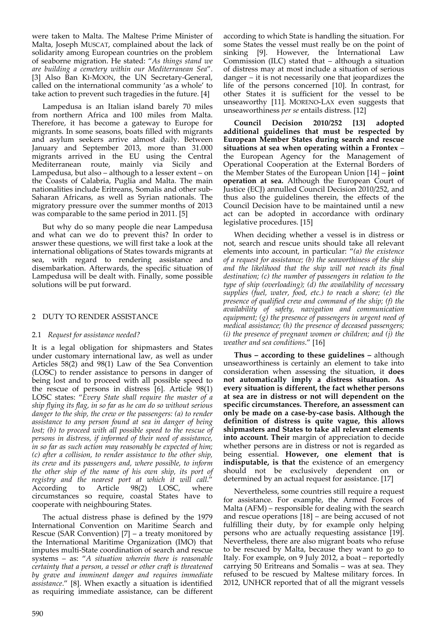were taken to Malta. The Maltese Prime Minister of Malta, Joseph MUSCAT, complained about the lack of solidarity among European countries on the problem of seaborne migration. He stated: "*As things stand we are building a cemetery within our Mediterranean Sea*". [3] Also Ban KI‐MOON, the UN Secretary‐General, called on the international community 'as a whole' to take action to prevent such tragedies in the future. [4]

Lampedusa is an Italian island barely 70 miles from northern Africa and 100 miles from Malta. Therefore, it has become a gateway to Europe for migrants. In some seasons, boats filled with migrants and asylum seekers arrive almost daily. Between January and September 2013, more than 31.000 migrants arrived in the EU using the Central<br>Mediterranean route, mainly via Sicily and Mediterranean route, mainly via Sicily Lampedusa, but also – although to a lesser extent – on the Coasts of Calabria, Puglia and Malta. The main nationalities include Eritreans, Somalis and other sub‐ Saharan Africans, as well as Syrian nationals. The migratory pressure over the summer months of 2013 was comparable to the same period in 2011. [5]

But why do so many people die near Lampedusa and what can we do to prevent this? In order to answer these questions, we will first take a look at the international obligations of States towards migrants at sea, with regard to rendering assistance and disembarkation. Afterwards, the specific situation of Lampedusa will be dealt with. Finally, some possible solutions will be put forward.

#### 2 DUTY TO RENDER ASSISTANCE

#### 2.1 *Request for assistance needed?*

It is a legal obligation for shipmasters and States under customary international law, as well as under Articles 58(2) and 98(1) Law of the Sea Convention (LOSC) to render assistance to persons in danger of being lost and to proceed with all possible speed to the rescue of persons in distress [6]. Article 98(1) LOSC states: "*Every State shall require the master of a ship flying its flag, in so far as he can do so without serious danger to the ship, the crew or the passengers: (a) to render assistance to any person found at sea in danger of being lost; (b) to proceed with all possible speed to the rescue of persons in distress, if informed of their need of assistance, in so far as such action may reasonably be expected of him; (c) after a collision, to render assistance to the other ship, its crew and its passengers and, where possible, to inform the other ship of the name of his own ship, its port of registry and the nearest port at which it will call*." According to Article 98(2) LOSC, where circumstances so require, coastal States have to cooperate with neighbouring States.

The actual distress phase is defined by the 1979 International Convention on Maritime Search and Rescue (SAR Convention) [7] – a treaty monitored by the International Maritime Organization (IMO) that imputes multi‐State coordination of search and rescue systems – as: "*A situation wherein there is reasonable certainty that a person, a vessel or other craft is threatened by grave and imminent danger and requires immediate assistance*." [8]. When exactly a situation is identified as requiring immediate assistance, can be different

according to which State is handling the situation. For some States the vessel must really be on the point of sinking [9]. However, the International Law Commission (ILC) stated that – although a situation of distress may at most include a situation of serious danger – it is not necessarily one that jeopardizes the life of the persons concerned [10]. In contrast, for other States it is sufficient for the vessel to be unseaworthy [11]. MORENO‐LAX even suggests that unseaworthiness *per se* entails distress. [12]

**Council Decision 2010/252 [13] adopted additional guidelines that must be respected by European Member States during search and rescue situations at sea when operating within a Frontex** – the European Agency for the Management of Operational Cooperation at the External Borders of the Member States of the European Union [14] – **joint operation at sea.** Although the European Court of Justice (ECJ) annulled Council Decision 2010/252, and thus also the guidelines therein, the effects of the Council Decision have to be maintained until a new act can be adopted in accordance with ordinary legislative procedures. [15]

When deciding whether a vessel is in distress or not, search and rescue units should take all relevant elements into account, in particular: "*(a) the existence of a request for assistance; (b) the seaworthiness of the ship and the likelihood that the ship will not reach its final destination; (c) the number of passengers in relation to the type of ship (overloading); (d) the availability of necessary supplies (fuel, water, food, etc.) to reach a shore; (e) the presence of qualified crew and command of the ship; (f) the availability of safety, navigation and communication equipment; (g) the presence of passengers in urgent need of medical assistance; (h) the presence of deceased passengers; (i) the presence of pregnant women or children; and (j) the weather and sea conditions*." [16]

**Thus – according to these guidelines –** although unseaworthiness is certainly an element to take into consideration when assessing the situation, it **does not automatically imply a distress situation. As every situation is different, the fact whether persons at sea are in distress or not will dependent on the specific circumstances. Therefore, an assessment can only be made on a case‐by‐case basis. Although the definition of distress is quite vague, this allows shipmasters and States to take all relevant elements into account. Their** margin of appreciation to decide whether persons are in distress or not is regarded as being essential. **However, one element that is indisputable, is that t**he existence of an emergency should not be exclusively dependent on or determined by an actual request for assistance. [17]

Nevertheless, some countries still require a request for assistance. For example, the Armed Forces of Malta (AFM) – responsible for dealing with the search and rescue operations [18] – are being accused of not fulfilling their duty, by for example only helping persons who are actually requesting assistance [19]. Nevertheless, there are also migrant boats who refuse to be rescued by Malta, because they want to go to Italy. For example, on 9 July 2012, a boat – reportedly carrying 50 Eritreans and Somalis – was at sea. They refused to be rescued by Maltese military forces. In 2012, UNHCR reported that of all the migrant vessels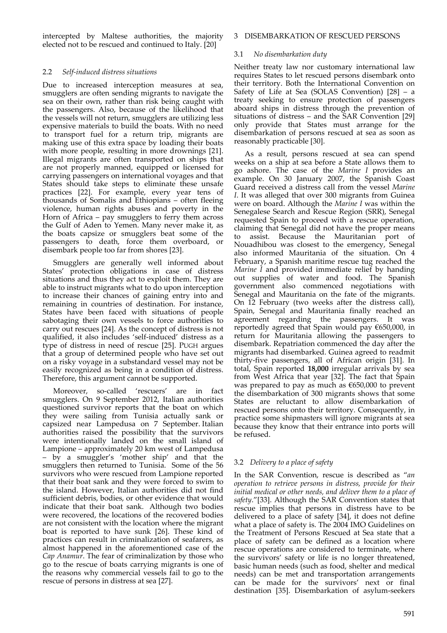intercepted by Maltese authorities, the majority elected not to be rescued and continued to Italy. [20]

### 2.2 *Self‐induced distress situations*

Due to increased interception measures at sea, smugglers are often sending migrants to navigate the sea on their own, rather than risk being caught with the passengers. Also, because of the likelihood that the vessels will not return, smugglers are utilizing less expensive materials to build the boats. With no need to transport fuel for a return trip, migrants are making use of this extra space by loading their boats with more people, resulting in more drownings [21]. Illegal migrants are often transported on ships that are not properly manned, equipped or licensed for carrying passengers on international voyages and that States should take steps to eliminate these unsafe practices [22]. For example, every year tens of thousands of Somalis and Ethiopians – often fleeing violence, human rights abuses and poverty in the Horn of Africa – pay smugglers to ferry them across the Gulf of Aden to Yemen. Many never make it, as the boats capsize or smugglers beat some of the passengers to death, force them overboard, or disembark people too far from shores [23].

Smugglers are generally well informed about States' protection obligations in case of distress situations and thus they act to exploit them. They are able to instruct migrants what to do upon interception to increase their chances of gaining entry into and remaining in countries of destination. For instance, States have been faced with situations of people sabotaging their own vessels to force authorities to carry out rescues [24]. As the concept of distress is not qualified, it also includes 'self‐induced' distress as a type of distress in need of rescue [25]. PUGH argues that a group of determined people who have set out on a risky voyage in a substandard vessel may not be easily recognized as being in a condition of distress. Therefore, this argument cannot be supported.

Moreover, so-called 'rescuers' are in fact smugglers. On 9 September 2012, Italian authorities questioned survivor reports that the boat on which they were sailing from Tunisia actually sank or capsized near Lampedusa on 7 September. Italian authorities raised the possibility that the survivors were intentionally landed on the small island of Lampione – approximately 20 km west of Lampedusa – by a smuggler's 'mother ship' and that the smugglers then returned to Tunisia. Some of the 56 survivors who were rescued from Lampione reported that their boat sank and they were forced to swim to the island. However, Italian authorities did not find sufficient debris, bodies, or other evidence that would indicate that their boat sank. Although two bodies were recovered, the locations of the recovered bodies are not consistent with the location where the migrant boat is reported to have sunk [26]. These kind of practices can result in criminalization of seafarers, as almost happened in the aforementioned case of the *Cap Anamur*. The fear of criminalization by those who go to the rescue of boats carrying migrants is one of the reasons why commercial vessels fail to go to the rescue of persons in distress at sea [27].

#### 3 DISEMBARKATION OF RESCUED PERSONS

#### 3.1 *No disembarkation duty*

Neither treaty law nor customary international law requires States to let rescued persons disembark onto their territory. Both the International Convention on Safety of Life at Sea (SOLAS Convention) [28] – a treaty seeking to ensure protection of passengers aboard ships in distress through the prevention of situations of distress – and the SAR Convention [29] only provide that States must arrange for the disembarkation of persons rescued at sea as soon as reasonably practicable [30].

As a result, persons rescued at sea can spend weeks on a ship at sea before a State allows them to go ashore. The case of the *Marine I* provides an example. On 30 January 2007, the Spanish Coast Guard received a distress call from the vessel *Marine I*. It was alleged that over 300 migrants from Guinea were on board. Although the *Marine I* was within the Senegalese Search and Rescue Region (SRR), Senegal requested Spain to proceed with a rescue operation, claiming that Senegal did not have the proper means to assist. Because the Mauritanian port of Nouadhibou was closest to the emergency, Senegal also informed Mauritania of the situation. On 4 February, a Spanish maritime rescue tug reached the *Marine I* and provided immediate relief by handing out supplies of water and food. The Spanish government also commenced negotiations with Senegal and Mauritania on the fate of the migrants. On 12 February (two weeks after the distress call), Spain, Senegal and Mauritania finally reached an agreement regarding the passengers. It was reportedly agreed that Spain would pay €650,000, in return for Mauritania allowing the passengers to disembark. Repatriation commenced the day after the migrants had disembarked. Guinea agreed to readmit thirty‐five passengers, all of African origin [31]. In total, Spain reported **18,000** irregular arrivals by sea from West Africa that year [32]. The fact that Spain was prepared to pay as much as  $€650,000$  to prevent the disembarkation of 300 migrants shows that some States are reluctant to allow disembarkation of rescued persons onto their territory. Consequently, in practice some shipmasters will ignore migrants at sea because they know that their entrance into ports will be refused.

## 3.2 *Delivery to a place of safety*

In the SAR Convention, rescue is described as "*an operation to retrieve persons in distress, provide for their initial medical or other needs, and deliver them to a place of safety*."[33]. Although the SAR Convention states that rescue implies that persons in distress have to be delivered to a place of safety [34], it does not define what a place of safety is. The 2004 IMO Guidelines on the Treatment of Persons Rescued at Sea state that a place of safety can be defined as a location where rescue operations are considered to terminate, where the survivors' safety or life is no longer threatened, basic human needs (such as food, shelter and medical needs) can be met and transportation arrangements can be made for the survivors' next or final destination [35]. Disembarkation of asylum‐seekers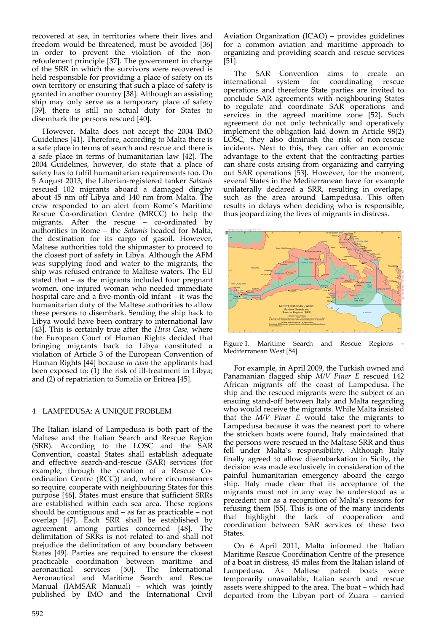recovered at sea, in territories where their lives and freedom would be threatened, must be avoided [36] in order to prevent the violation of the nonrefoulement principle [37]. The government in charge of the SRR in which the survivors were recovered is held responsible for providing a place of safety on its own territory or ensuring that such a place of safety is granted in another country [38]. Although an assisting ship may only serve as a temporary place of safety [39], there is still no actual duty for States to disembark the persons rescued [40].

However, Malta does not accept the 2004 IMO Guidelines [41]. Therefore, according to Malta there is a safe place in terms of search and rescue and there is a safe place in terms of humanitarian law [42]. The 2004 Guidelines, however, do state that a place of safety has to fulfil humanitarian requirements too. On 5 August 2013, the Liberian‐registered tanker *Salamis* rescued 102 migrants aboard a damaged dinghy about 45 nm off Libya and 140 nm from Malta. The crew responded to an alert from Rome's Maritime Rescue Co-ordination Centre (MRCC) to help the migrants. After the rescue – co-ordinated by authorities in Rome – the *Salamis* headed for Malta, the destination for its cargo of gasoil. However, Maltese authorities told the shipmaster to proceed to the closest port of safety in Libya. Although the AFM was supplying food and water to the migrants, the ship was refused entrance to Maltese waters. The EU stated that – as the migrants included four pregnant women, one injured woman who needed immediate hospital care and a five-month-old infant – it was the humanitarian duty of the Maltese authorities to allow these persons to disembark. Sending the ship back to Libya would have been contrary to international law [43]. This is certainly true after the *Hirsi Case*, where the European Court of Human Rights decided that bringing migrants back to Libya constituted a violation of Article 3 of the European Convention of Human Rights [44] because *in casu* the applicants had been exposed to: (1) the risk of ill-treatment in Libya; and (2) of repatriation to Somalia or Eritrea [45].

## 4 LAMPEDUSA: A UNIQUE PROBLEM

The Italian island of Lampedusa is both part of the Maltese and the Italian Search and Rescue Region (SRR). According to the LOSC and the SAR Convention, coastal States shall establish adequate and effective search‐and‐rescue (SAR) services (for example, through the creation of a Rescue Coordination Centre (RCC)) and, where circumstances so require, cooperate with neighbouring States for this purpose [46]. States must ensure that sufficient SRRs are established within each sea area. These regions should be contiguous and – as far as practicable – not overlap [47]. Each SRR shall be established by agreement among parties concerned [48]. The delimitation of SRRs is not related to and shall not prejudice the delimitation of any boundary between States [49]. Parties are required to ensure the closest practicable coordination between maritime and<br>aeronautical services [50]. The International aeronautical services [50]. The International Aeronautical and Maritime Search and Rescue Manual (IAMSAR Manual) – which was jointly published by IMO and the International Civil

Aviation Organization (ICAO) – provides guidelines for a common aviation and maritime approach to organizing and providing search and rescue services [51].

The SAR Convention aims to create an international system for coordinating rescue operations and therefore State parties are invited to conclude SAR agreements with neighbouring States to regulate and coordinate SAR operations and services in the agreed maritime zone [52]. Such agreement do not only technically and operatively implement the obligation laid down in Article  $98(2)$ LOSC, they also diminish the risk of non-rescue incidents. Next to this, they can offer an economic advantage to the extent that the contracting parties can share costs arising from organizing and carrying out SAR operations [53]. However, for the moment, several States in the Mediterranean have for example unilaterally declared a SRR, resulting in overlaps, such as the area around Lampedusa. This often results in delays when deciding who is responsible, thus jeopardizing the lives of migrants in distress.



Figure 1. Maritime Search and Rescue Regions – Mediterranean West [54]

For example, in April 2009, the Turkish owned and Panamanian flagged ship *M/V Pinar E* rescued 142 African migrants off the coast of Lampedusa. The ship and the rescued migrants were the subject of an ensuing stand‐off between Italy and Malta regarding who would receive the migrants. While Malta insisted that the *M/V Pinar E* would take the migrants to Lampedusa because it was the nearest port to where the stricken boats were found, Italy maintained that the persons were rescued in the Maltase SRR and thus fell under Malta's responsibility. Although Italy finally agreed to allow disembarkation in Sicily, the decision was made exclusively in consideration of the painful humanitarian emergency aboard the cargo ship. Italy made clear that its acceptance of the migrants must not in any way be understood as a precedent nor as a recognition of Malta's reasons for refusing them [55]. This is one of the many incidents that highlight the lack of cooperation and coordination between SAR services of these two States.

On 6 April 2011, Malta informed the Italian Maritime Rescue Coordination Centre of the presence of a boat in distress, 45 miles from the Italian island of Lampedusa. As Maltese patrol boats were temporarily unavailable, Italian search and rescue assets were shipped to the area. The boat – which had departed from the Libyan port of Zuara – carried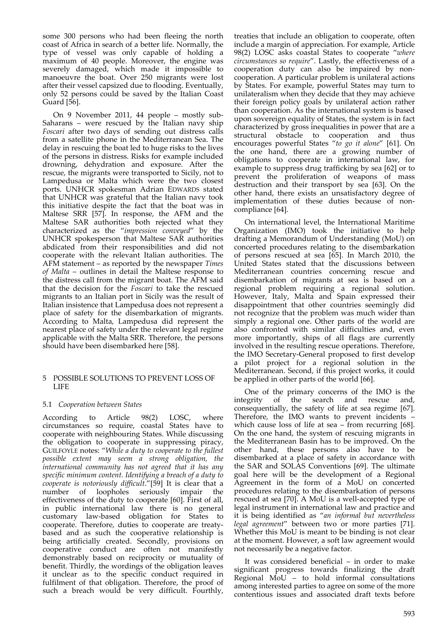some 300 persons who had been fleeing the north coast of Africa in search of a better life. Normally, the type of vessel was only capable of holding a maximum of 40 people. Moreover, the engine was severely damaged, which made it impossible to manoeuvre the boat. Over 250 migrants were lost after their vessel capsized due to flooding. Eventually, only 52 persons could be saved by the Italian Coast Guard [56].

On 9 November 2011, 44 people – mostly sub‐ Saharans – were rescued by the Italian navy ship *Foscari* after two days of sending out distress calls from a satellite phone in the Mediterranean Sea. The delay in rescuing the boat led to huge risks to the lives of the persons in distress. Risks for example included drowning, dehydration and exposure. After the rescue, the migrants were transported to Sicily, not to Lampedusa or Malta which were the two closest ports. UNHCR spokesman Adrian EDWARDS stated that UNHCR was grateful that the Italian navy took this initiative despite the fact that the boat was in Maltese SRR [57]. In response, the AFM and the Maltese SAR authorities both rejected what they characterized as the "*impression conveyed*" by the UNHCR spokesperson that Maltese SAR authorities abdicated from their responsibilities and did not cooperate with the relevant Italian authorities. The AFM statement – as reported by the newspaper *Times of Malta* – outlines in detail the Maltese response to the distress call from the migrant boat. The AFM said that the decision for the *Foscari* to take the rescued migrants to an Italian port in Sicily was the result of Italian insistence that Lampedusa does not represent a place of safety for the disembarkation of migrants. According to Malta, Lampedusa did represent the nearest place of safety under the relevant legal regime applicable with the Malta SRR. Therefore, the persons should have been disembarked here [58].

#### 5 POSSIBLE SOLUTIONS TO PREVENT LOSS OF LIFE

## 5.1 *Cooperation between States*

According to Article 98(2) LOSC, where circumstances so require, coastal States have to cooperate with neighbouring States. While discussing the obligation to cooperate in suppressing piracy, GUILFOYLE notes: "*While a duty to cooperate to the fullest possible extent may seem a strong obligation, the international community has not agreed that it has any specific minimum content. Identifying a breach of a duty to cooperate is notoriously difficult*."[59] It is clear that a number of loopholes seriously impair the effectiveness of the duty to cooperate [60]. First of all, in public international law there is no general customary law‐based obligation for States to cooperate. Therefore, duties to cooperate are treaty‐ based and as such the cooperative relationship is being artificially created. Secondly, provisions on cooperative conduct are often not manifestly demonstrably based on reciprocity or mutuality of benefit. Thirdly, the wordings of the obligation leaves it unclear as to the specific conduct required in fulfilment of that obligation. Therefore, the proof of such a breach would be very difficult. Fourthly,

treaties that include an obligation to cooperate, often include a margin of appreciation. For example, Article 98(2) LOSC asks coastal States to cooperate "*where circumstances so require*". Lastly, the effectiveness of a cooperation duty can also be impaired by non‐ cooperation. A particular problem is unilateral actions by States. For example, powerful States may turn to unilateralism when they decide that they may achieve their foreign policy goals by unilateral action rather than cooperation. As the international system is based upon sovereign equality of States, the system is in fact characterized by gross inequalities in power that are a structural obstacle to cooperation and thus encourages powerful States "*to go it alone*" [61]. On the one hand, there are a growing number of obligations to cooperate in international law, for example to suppress drug trafficking by sea [62] or to prevent the proliferation of weapons of mass destruction and their transport by sea [63]. On the other hand, there exists an unsatisfactory degree of implementation of these duties because of noncompliance [64].

On international level, the International Maritime Organization (IMO) took the initiative to help drafting a Memorandum of Understanding (MoU) on concerted procedures relating to the disembarkation of persons rescued at sea [65]. In March 2010, the United States stated that the discussions between Mediterranean countries concerning rescue and disembarkation of migrants at sea is based on a regional problem requiring a regional solution. However, Italy, Malta and Spain expressed their disappointment that other countries seemingly did not recognize that the problem was much wider than simply a regional one. Other parts of the world are also confronted with similar difficulties and, even more importantly, ships of all flags are currently involved in the resulting rescue operations. Therefore, the IMO Secretary‐General proposed to first develop a pilot project for a regional solution in the Mediterranean. Second, if this project works, it could be applied in other parts of the world [66].

One of the primary concerns of the IMO is the integrity of the search and rescue and, consequentially, the safety of life at sea regime [67]. Therefore, the IMO wants to prevent incidents – which cause loss of life at sea – from recurring  $[68]$ . On the one hand, the system of rescuing migrants in the Mediterranean Basin has to be improved. On the other hand, these persons also have to be disembarked at a place of safety in accordance with the SAR and SOLAS Conventions [69]. The ultimate goal here will be the development of a Regional Agreement in the form of a MoU on concerted procedures relating to the disembarkation of persons rescued at sea [70]. A MoU is a well‐accepted type of legal instrument in international law and practice and it is being identified as "*an informal but nevertheless legal agreement*" between two or more parties [71]. Whether this MoU is meant to be binding is not clear at the moment. However, a soft law agreement would not necessarily be a negative factor.

It was considered beneficial – in order to make significant progress towards finalizing the draft Regional MoU – to hold informal consultations among interested parties to agree on some of the more contentious issues and associated draft texts before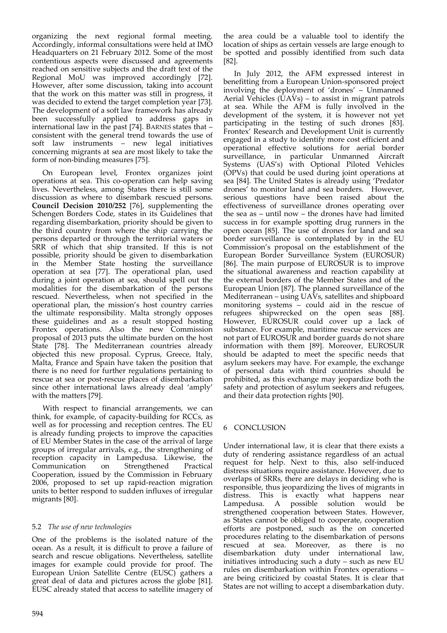organizing the next regional formal meeting. Accordingly, informal consultations were held at IMO Headquarters on 21 February 2012. Some of the most contentious aspects were discussed and agreements reached on sensitive subjects and the draft text of the Regional MoU was improved accordingly [72]. However, after some discussion, taking into account that the work on this matter was still in progress, it was decided to extend the target completion year [73]. The development of a soft law framework has already been successfully applied to address gaps in international law in the past [74]. BARNES states that – consistent with the general trend towards the use of soft law instruments – new legal initiatives concerning migrants at sea are most likely to take the form of non‐binding measures [75].

On European level, Frontex organizes joint operations at sea. This co‐operation can help saving lives. Nevertheless, among States there is still some discussion as where to disembark rescued persons. **Council Decision 2010/252** [76], supplementing the Schengen Borders Code, states in its Guidelines that regarding disembarkation, priority should be given to the third country from where the ship carrying the persons departed or through the territorial waters or SRR of which that ship transited. If this is not possible, priority should be given to disembarkation in the Member State hosting the surveillance operation at sea [77]. The operational plan, used during a joint operation at sea, should spell out the modalities for the disembarkation of the persons rescued. Nevertheless, when not specified in the operational plan, the mission's host country carries the ultimate responsibility. Malta strongly opposes these guidelines and as a result stopped hosting Frontex operations. Also the new Commission proposal of 2013 puts the ultimate burden on the host State [78]. The Mediterranean countries already objected this new proposal. Cyprus, Greece, Italy, Malta, France and Spain have taken the position that there is no need for further regulations pertaining to rescue at sea or post‐rescue places of disembarkation since other international laws already deal 'amply' with the matters [79].

With respect to financial arrangements, we can think, for example, of capacity‐building for RCCs, as well as for processing and reception centres. The EU is already funding projects to improve the capacities of EU Member States in the case of the arrival of large groups of irregular arrivals, e.g., the strengthening of reception capacity in Lampedusa. Likewise, the Communication on Strengthened Practical Cooperation, issued by the Commission in February 2006, proposed to set up rapid‐reaction migration units to better respond to sudden influxes of irregular migrants [80].

#### 5.2 *The use of new technologies*

One of the problems is the isolated nature of the ocean. As a result, it is difficult to prove a failure of search and rescue obligations. Nevertheless, satellite images for example could provide for proof. The European Union Satellite Centre (EUSC) gathers a great deal of data and pictures across the globe [81]. EUSC already stated that access to satellite imagery of the area could be a valuable tool to identify the location of ships as certain vessels are large enough to be spotted and possibly identified from such data [82].

In July 2012, the AFM expressed interest in benefitting from a European Union‐sponsored project involving the deployment of 'drones' – Unmanned Aerial Vehicles (UAVs) – to assist in migrant patrols at sea. While the AFM is fully involved in the development of the system, it is however not yet participating in the testing of such drones [83]. Frontex' Research and Development Unit is currently engaged in a study to identify more cost efficient and operational effective solutions for aerial border surveillance, in particular Unmanned Aircraft Systems (UAS's) with Optional Piloted Vehicles (OPVs) that could be used during joint operations at sea [84]. The United States is already using 'Predator drones' to monitor land and sea borders. However, serious questions have been raised about the effectiveness of surveillance drones operating over the sea as – until now – the drones have had limited success in for example spotting drug runners in the open ocean [85]. The use of drones for land and sea border surveillance is contemplated by in the EU Commission's proposal on the establishment of the European Border Surveillance System (EUROSUR) [86]. The main purpose of EUROSUR is to improve the situational awareness and reaction capability at the external borders of the Member States and of the European Union [87]. The planned surveillance of the Mediterranean – using UAVs, satellites and shipboard monitoring systems – could aid in the rescue of refugees shipwrecked on the open seas [88]. However, EUROSUR could cover up a lack of substance. For example, maritime rescue services are not part of EUROSUR and border guards do not share information with them [89]. Moreover, EUROSUR should be adapted to meet the specific needs that asylum seekers may have. For example, the exchange of personal data with third countries should be prohibited, as this exchange may jeopardize both the safety and protection of asylum seekers and refugees, and their data protection rights [90].

## 6 CONCLUSION

Under international law, it is clear that there exists a duty of rendering assistance regardless of an actual request for help. Next to this, also self‐induced distress situations require assistance. However, due to overlaps of SRRs, there are delays in deciding who is responsible, thus jeopardizing the lives of migrants in distress. This is exactly what happens near Lampedusa. A possible solution would be strengthened cooperation between States. However, as States cannot be obliged to cooperate, cooperation efforts are postponed, such as the on concerted procedures relating to the disembarkation of persons rescued at sea. Moreover, as there is no disembarkation duty under international law, initiatives introducing such a duty – such as new EU rules on disembarkation within Frontex operations – are being criticized by coastal States. It is clear that States are not willing to accept a disembarkation duty.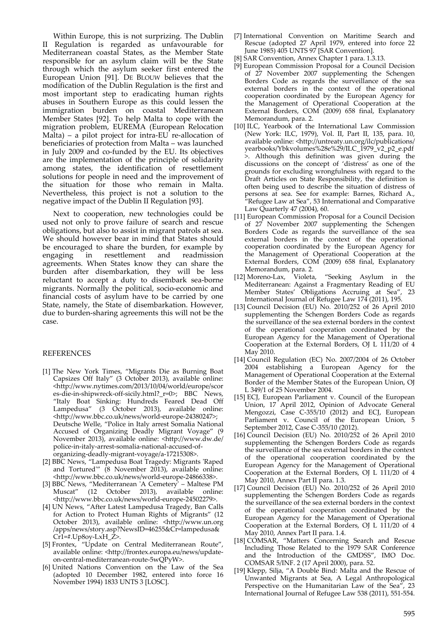Within Europe, this is not surprizing. The Dublin II Regulation is regarded as unfavourable for Mediterranean coastal States, as the Member State responsible for an asylum claim will be the State through which the asylum seeker first entered the European Union [91]. DE BLOUW believes that the modification of the Dublin Regulation is the first and most important step to eradicating human rights abuses in Southern Europe as this could lessen the immigration burden on coastal Mediterranean Member States [92]. To help Malta to cope with the migration problem, EUREMA (European Relocation Malta) – a pilot project for intra-EU re-allocation of beneficiaries of protection from Malta – was launched in July 2009 and co‐funded by the EU. Its objectives are the implementation of the principle of solidarity among states, the identification of resettlement solutions for people in need and the improvement of the situation for those who remain in Malta. Nevertheless, this project is not a solution to the negative impact of the Dublin II Regulation [93].

Next to cooperation, new technologies could be used not only to prove failure of search and rescue obligations, but also to assist in migrant patrols at sea. We should however bear in mind that States should be encouraged to share the burden, for example by engaging in resettlement and readmission agreements. When States know they can share the burden after disembarkation, they will be less reluctant to accept a duty to disembark sea‐borne migrants. Normally the political, socio‐economic and financial costs of asylum have to be carried by one State, namely, the State of disembarkation. However, due to burden‐sharing agreements this will not be the case.

#### REFERENCES

- [1] The New York Times, "Migrants Die as Burning Boat Capsizes Off Italy" (3 October 2013), available online: <http://www.nytimes.com/2013/10/04/world/europe/scor es-die-in-shipwreck-off-sicily.html?\_r=0>; BBC News, "Italy Boat Sinking: Hundreds Feared Dead Off Lampedusa" (3 October 2013), available online: <http://www.bbc.co.uk/news/world‐europe‐24380247>; Deutsche Welle, "Police in Italy arrest Somalia National Accused of Organizing Deadly Migrant Voyage" (9 November 2013), available online: <http://www.dw.de/ police‐in‐italy‐arrest‐somalia‐national‐accused‐of‐ organizing‐deadly‐migrant‐voyage/a‐17215308>.
- [2] BBC News, "Lampedusa Boat Tragedy: Migrants 'Raped and Tortured<sup>"</sup> (8 November 2013), available online: <http://www.bbc.co.uk/news/world‐europe‐24866338>.
- [3] BBC News, "Mediterranean 'A Cemetery' Maltese PM<br>Muscat" (12 October 2013), available online: Muscat" (12 October 2013), available online: <http://www.bbc.co.uk/news/world‐europe‐24502279>.
- [4] UN News, "After Latest Lampedusa Tragedy, Ban Calls for Action to Protect Human Rights of Migrants" (12 October 2013), available online: <http://www.un.org /apps/news/story.asp?NewsID=46255&Cr=lampedusa& Cr1=#.Up8oy‐LxH\_Z>.
- [5] Frontex, "Update on Central Mediterranean Route", available online: <http://frontex.europa.eu/news/update‐ on‐central‐mediterranean‐route‐5wQPyW>.
- [6] United Nations Convention on the Law of the Sea (adopted 10 December 1982, entered into force 16 November 1994) 1833 UNTS 3 [LOSC].
- [7] International Convention on Maritime Search and Rescue (adopted 27 April 1979, entered into force 22 June 1985) 405 UNTS 97 [SAR Convention].
- SAR Convention, Annex Chapter 1 para. 1.3.13.
- [9] European Commission Proposal for a Council Decision of 27 November 2007 supplementing the Schengen Borders Code as regards the surveillance of the sea external borders in the context of the operational cooperation coordinated by the European Agency for the Management of Operational Cooperation at the External Borders, COM (2009) 658 final, Explanatory Memorandum, para. 2.
- [10] ILC, Yearbook of the International Law Commission (New York: ILC, 1979), Vol. II, Part II, 135, para. 10, available online: <http://untreaty.un.org/ilc/publications/ yearbooks/Ybkvolumes%28e%29/ILC\_1979\_v2\_p2\_e.pdf >. Although this definition was given during the discussions on the concept of 'distress' as one of the grounds for excluding wrongfulness with regard to the Draft Articles on State Responsibility, the definition is often being used to describe the situation of distress of persons at sea. See for example: Barnes, Richard A., "Refugee Law at Sea", 53 International and Comparative Law Quarterly 47 (2004), 60.
- [11] European Commission Proposal for a Council Decision of 27 November 2007 supplementing the Schengen Borders Code as regards the surveillance of the sea external borders in the context of the operational cooperation coordinated by the European Agency for the Management of Operational Cooperation at the External Borders, COM (2009) 658 final, Explanatory Memorandum, para. 2.<br>[12] Moreno-Lax, Violeta,
- "Seeking Asylum in the Mediterranean: Against a Fragmentary Reading of EU Member States' Obligations Accruing at Sea", 23 International Journal of Refugee Law 174 (2011), 195.
- [13] Council Decision (EU) No. 2010/252 of 26 April 2010 supplementing the Schengen Borders Code as regards the surveillance of the sea external borders in the context of the operational cooperation coordinated by the European Agency for the Management of Operational Cooperation at the External Borders, OJ L 111/20 of 4 May 2010.
- [14] Council Regulation (EC) No. 2007/2004 of 26 October 2004 establishing a European Agency for the Management of Operational Cooperation at the External Border of the Member States of the European Union, OJ L 349/1 of 25 November 2004.
- [15] ECJ, European Parliament v. Council of the European Union, 17 April 2012, Opinion of Advocate General Mengozzi, Case C-355/10 (2012) and ECJ, European Parliament v. Council of the European Union, 5 September 2012, Case C‐355/10 (2012).
- [16] Council Decision (EU) No. 2010/252 of 26 April 2010 supplementing the Schengen Borders Code as regards the surveillance of the sea external borders in the context of the operational cooperation coordinated by the European Agency for the Management of Operational Cooperation at the External Borders, OJ L 111/20 of 4 May 2010, Annex Part II para. 1.3.
- [17] Council Decision (EU) No. 2010/252 of 26 April 2010 supplementing the Schengen Borders Code as regards the surveillance of the sea external borders in the context of the operational cooperation coordinated by the European Agency for the Management of Operational Cooperation at the External Borders,  $OJ L 111/20$  of 4 May 2010, Annex Part II para. 1.4.
- [18] COMSAR, "Matters Concerning Search and Rescue Including Those Related to the 1979 SAR Conference and the Introduction of the GMDSS", IMO Doc. COMSAR 5/INF. 2 (17 April 2000), para. 52.
- [19] Klepp, Silja, "A Double Bind: Malta and the Rescue of Unwanted Migrants at Sea, A Legal Anthropological Perspective on the Humanitarian Law of the Sea", 23 International Journal of Refugee Law 538 (2011), 551‐554.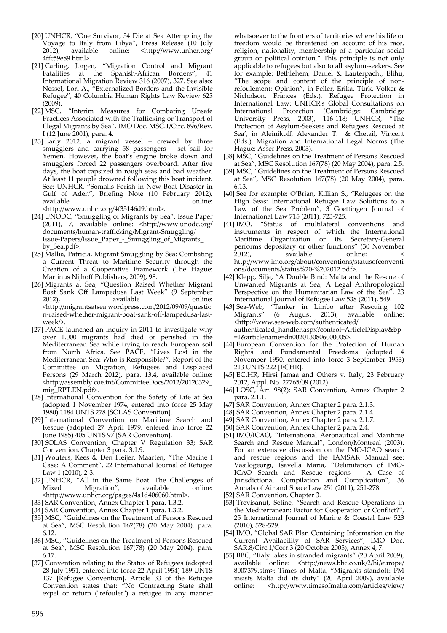- [20] UNHCR, "One Survivor, 54 Die at Sea Attempting the Voyage to Italy from Libya", Press Release (10 July<br>2012), available online: <http://www.unhcr.org/ 2012), available online: <http://www.unhcr.org/ 4ffc59e89.html>.
- [21] Carling, Jorgen, "Migration Control and Migrant Fatalities at the Spanish-African Borders", 41 International Migration Review 316 (2007), 327. See also: Nessel, Lori A., "Externalized Borders and the Invisible Refugee", 40 Columbia Human Rights Law Review 625  $(2009)$ .
- [22] MSC, "Interim Measures for Combating Unsafe Practices Associated with the Trafficking or Transport of Illegal Migrants by Sea", IMO Doc. MSC.1/Circ. 896/Rev. I (12 June 2001), para. 4.
- [23] Early 2012, a migrant vessel crewed by three smugglers and carrying 58 passengers – set sail for Yemen. However, the boat's engine broke down and smugglers forced 22 passengers overboard. After five days, the boat capsized in rough seas and bad weather. At least 11 people drowned following this boat incident. See: UNHCR, "Somalis Perish in New Boat Disaster in Gulf of Aden", Briefing Note (10 February 2012), available **online**:

<http://www.unhcr.org/4f35146d9.html>.

- [24] UNODC, "Smuggling of Migrants by Sea", Issue Paper (2011), 7, available online: <http://www.unodc.org/ documents/human‐trafficking/Migrant‐Smuggling/ Issue‐Papers/Issue\_Paper\_‐\_Smuggling\_of\_Migrants\_ by\_Sea.pdf>.
- [25] Mallia, Patricia, Migrant Smuggling by Sea: Combating a Current Threat to Maritime Security through the Creation of a Cooperative Framework (The Hague: Martinus Nijhoff Publishers, 2009), 98.
- [26] Migrants at Sea, "Question Raised Whether Migrant Boat Sank Off Lampedusa Last Week" (9 September available online: <http://migrantsatsea.wordpress.com/2012/09/09/questio n‐raised‐whether‐migrant‐boat‐sank‐off‐lampedusa‐last‐ week/>.
- [27] PACE launched an inquiry in 2011 to investigate why over 1.000 migrants had died or perished in the Mediterranean Sea while trying to reach European soil from North Africa. See PACE, "Lives Lost in the Mediterranean Sea: Who is Responsible?", Report of the Committee on Migration, Refugees and Displaced Persons (29 March 2012), para. 13.4, available online: <http://assembly.coe.int/CommitteeDocs/2012/20120329\_ mig\_RPT.EN.pdf>.
- [28] International Convention for the Safety of Life at Sea (adopted 1 November 1974, entered into force 25 May 1980) 1184 UNTS 278 [SOLAS Convention].
- [29] International Convention on Maritime Search and Rescue (adopted 27 April 1979, entered into force 22 June 1985) 405 UNTS 97 [SAR Convention].
- [30] SOLAS Convention, Chapter V Regulation 33; SAR Convention, Chapter 3 para. 3.1.9.
- [31] Wouters, Kees & Den Heijer, Maarten, "The Marine I Case: A Comment", 22 International Journal of Refugee Law 1 (2010), 2‐3.
- [32] UNHCR, "All in the Same Boat: The Challenges of Mixed Migration", available online: Migration", <http://www.unhcr.org/pages/4a1d406060.html>.
- [33] SAR Convention, Annex Chapter 1 para. 1.3.2.
- [34] SAR Convention, Annex Chapter 1 para. 1.3.2.
- [35] MSC, "Guidelines on the Treatment of Persons Rescued at Sea", MSC Resolution 167(78) (20 May 2004), para. 6.12.
- [36] MSC, "Guidelines on the Treatment of Persons Rescued at Sea", MSC Resolution 167(78) (20 May 2004), para. 6.17.
- [37] Convention relating to the Status of Refugees (adopted 28 July 1951, entered into force 22 April 1954) 189 UNTS 137 [Refugee Convention]. Article 33 of the Refugee Convention states that: "No Contracting State shall expel or return ("refouler") a refugee in any manner

whatsoever to the frontiers of territories where his life or freedom would be threatened on account of his race, religion, nationality, membership of a particular social group or political opinion." This principle is not only applicable to refugees but also to all asylum‐seekers. See for example: Bethlehem, Daniel & Lauterpacht, Elihu, "The scope and content of the principle of non‐ refoulement: Opinion", in Feller, Erika, Türk, Volker & Nicholson, Frances (Eds.), Refugee Protection in International Law: UNHCR<sup>'</sup>s Global Consultations on International Protection (Cambridge: Cambridge International Protection (Cambridge: University Press, 2003), 116‐118; UNHCR, "The Protection of Asylum‐Seekers and Refugees Rescued at Sea', in Aleinikoff, Alexander T. & Chetail, Vincent (Eds.), Migration and International Legal Norms (The Hague: Asser Press, 2003).

- [38] MSC, "Guidelines on the Treatment of Persons Rescued at Sea", MSC Resolution 167(78) (20 May 2004), para. 2.5.
- [39] MSC, "Guidelines on the Treatment of Persons Rescued at Sea", MSC Resolution 167(78) (20 May 2004), para. 6.13.
- [40] See for example: O'Brian, Killian S., "Refugees on the High Seas: International Refugee Law Solutions to a Law of the Sea Problem", 3 Goettingen Journal of International Law 715 (2011), 723‐725.
- [41] IMO, "Status of multilateral conventions and instruments in respect of which the International Maritime Organization or its Secretary-General performs depositary or other functions" (30 November 2012).<br>2012). available online: 2012), available http://www.imo.org/about/conventions/statusofconventi ons/documents/status%20‐%202012.pdf>.
- [42] Klepp, Silja, "A Double Bind: Malta and the Rescue of Unwanted Migrants at Sea, A Legal Anthropological Perspective on the Humanitarian Law of the Sea", 23 International Journal of Refugee Law 538 (2011), 549.
- [43] Sea‐Web, "Tanker in Limbo after Rescuing 102 (6 August 2013), available online: <http://www.sea‐web.com/authenticated/ authenticated\_handler.aspx?control=ArticleDisplay&bp =1&articlename=dn0020130806000005>.
- [44] European Convention for the Protection of Human Rights and Fundamental Freedoms (adopted November 1950, entered into force 3 September 1953) 213 UNTS 222 [ECHR].
- [45] ECtHR, Hirsi Jamaa and Others v. Italy, 23 February 2012, Appl. No. 27765/09 (2012).
- [46] LOSC, Art. 98(2); SAR Convention, Annex Chapter 2 para. 2.1.1.
- [47] SAR Convention, Annex Chapter 2 para. 2.1.3.
- [48] SAR Convention, Annex Chapter 2 para. 2.1.4.
- [49] SAR Convention, Annex Chapter 2 para. 2.1.7.
- [50] SAR Convention, Annex Chapter 2 para. 2.4.
- [51] IMO/ICAO, "International Aeronautical and Maritime Search and Rescue Manual", London/Montreal (2003). For an extensive discussion on the IMO‐ICAO search and rescue regions and the IAMSAR Manual see: Vasilogeorgi, Isavella Maria, "Delimitation of IMO‐ ICAO Search and Rescue regions – A Case of Jurisdictional Compilation and Complication", 36 Annals of Air and Space Law 251 (2011), 251‐278.
- [52] SAR Convention, Chapter 3.
- [53] Trevisanut, Seline, "Search and Rescue Operations in the Mediterranean: Factor for Cooperation or Conflict?" 25 International Journal of Marine & Coastal Law 523 (2010), 528‐529.
- [54] IMO, "Global SAR Plan Containing Information on the Current Availability of SAR Services", IMO Doc. SAR.8/Circ.1/Corr.3 (20 October 2005), Annex 4, 7.
- [55] BBC, "Italy takes in stranded migrants" (20 April 2009), available online: <http://news.bbc.co.uk/2/hi/europe/ 8007379.stm>; Times of Malta, "Migrants standoff: PM insists Malta did its duty" (20 April 2009), available online: <http://www.timesofmalta.com/articles/view/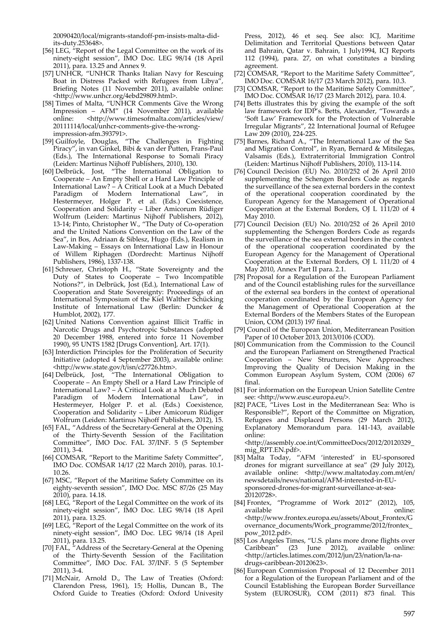20090420/local/migrants‐standoff‐pm‐insists‐malta‐did‐ its‐duty.253648>.

- [56] LEG, "Report of the Legal Committee on the work of its ninety‐eight session", IMO Doc. LEG 98/14 (18 April 2011), para. 13.25 and Annex 9.
- [57] UNHCR, "UNHCR Thanks Italian Navy for Rescuing Boat in Distress Packed with Refugees from Libya", Briefing Notes (11 November 2011), available online: <http://www.unhcr.org/4ebd29809.html>.
- [58] Times of Malta, "UNHCR Comments Give the Wrong Impression – AFM" (14 November 2011), available <http://www.timesofmalta.com/articles/view/ 20111114/local/unhcr-comments-give-the-wrongimpression‐afm.393791>.
- [59] Guilfoyle, Douglas, "The Challenges in Fighting Piracy", in van Ginkel, Bibi & van der Putten, Frans‐Paul (Eds.), The International Response to Somali Piracy (Leiden: Martinus Nijhoff Publishers, 2010), 130.
- [60] Delbrück, Jost, "The International Obligation to Cooperate – An Empty Shell or a Hard Law Principle of International Law? – A Critical Look at a Much Debated Paradigm of Modern International Law", in Hestermeyer, Holger P. et al. (Eds.) Coexistence, Cooperation and Solidarity – Liber Amicorum Rüdiger Wolfrum (Leiden: Martinus Nijhoff Publishers, 2012), 13-14; Pinto, Christopher W., "The Duty of Co-operation and the United Nations Convention on the Law of the Sea", in Bos, Adriaan & Siblesz, Hugo (Eds.), Realism in Law‐Making – Essays on International Law in Honour of Willem Riphagen (Dordrecht: Martinus Nijhoff Publishers, 1986), 1337‐138.
- [61] Schreuer, Christoph H., "State Sovereignty and the Duty of States to Cooperate – Two Incompatible Notions?", in Delbrück, Jost (Ed.), International Law of Cooperation and State Sovereignty: Proceedings of an International Symposium of the Kiel Walther Schücking Institute of International Law (Berlin: Duncker & Humblot, 2002), 177.
- [62] United Nations Convention against Illicit Traffic in Narcotic Drugs and Psychotropic Substances (adopted 20 December 1988, entered into force 11 November 1990), 95 UNTS 1582 [Drugs Convention], Art. 17(1).
- [63] Interdiction Principles for the Proliferation of Security Initiative (adopted 4 September 2003), available online: <http://www.state.gov/t/isn/c27726.htm>.
- [64] Delbrück, Jost, "The International Obligation to Cooperate – An Empty Shell or a Hard Law Principle of International Law? – A Critical Look at a Much Debated Paradigm of Modern International Law", in Hestermeyer, Holger P. et al. (Eds.) Coexistence, Cooperation and Solidarity – Liber Amicorum Rüdiger Wolfrum (Leiden: Martinus Nijhoff Publishers, 2012), 15.
- [65] FAL, "Address of the Secretary‐General at the Opening of the Thirty-Seventh Session of the Facilitation Committee", IMO Doc. FAL 37/INF. 5 (5 September 2011), 3‐4.
- [66] COMSAR, "Report to the Maritime Safety Committee", IMO Doc. COMSAR 14/17 (22 March 2010), paras. 10.1‐ 10.26.
- [67] MSC, "Report of the Maritime Safety Committee on its eighty‐seventh session", IMO Doc. MSC 87/26 (25 May 2010), para. 14.18.
- [68] LEG, "Report of the Legal Committee on the work of its ninety‐eight session", IMO Doc. LEG 98/14 (18 April 2011), para. 13.25.
- [69] LEG, "Report of the Legal Committee on the work of its ninety‐eight session", IMO Doc. LEG 98/14 (18 April 2011), para. 13.25.
- [70] FAL, "Address of the Secretary‐General at the Opening of the Thirty‐Seventh Session of the Facilitation Committee", IMO Doc. FAL 37/INF. 5 (5 September 2011), 3‐4.
- [71] McNair, Arnold D., The Law of Treaties (Oxford: Clarendon Press, 1961), 15; Hollis, Duncan B., The Oxford Guide to Treaties (Oxford: Oxford Univesity

Press, 2012), 46 et seq. See also: ICJ, Maritime Delimitation and Territorial Questions between Qatar and Bahrain, Qatar v. Bahrain, 1 July1994, ICJ Reports 112 (1994), para. 27, on what constitutes a binding agreement.

- [72] COMSAR, "Report to the Maritime Safety Committee", IMO Doc. COMSAR 16/17 (23 March 2012), para. 10.3.
- [73] COMSAR, "Report to the Maritime Safety Committee", IMO Doc. COMSAR 16/17 (23 March 2012), para. 10.4.
- [74] Betts illustrates this by giving the example of the soft law framework for IDP's. Betts, Alexander, "Towards a 'Soft Law' Framework for the Protection of Vulnerable Irregular Migrants", 22 International Journal of Refugee Law 209 (2010), 224‐225.
- [75] Barnes, Richard A., "The International Law of the Sea and Migration Control", in Ryan, Bernard & Mitsilegas, Valsamis (Eds.), Extraterritorial Immigration Control (Leiden: Martinus Nijhoff Publishers, 2010), 113‐114.
- [76] Council Decision (EU) No. 2010/252 of 26 April 2010 supplementing the Schengen Borders Code as regards the surveillance of the sea external borders in the context of the operational cooperation coordinated by the European Agency for the Management of Operational Cooperation at the External Borders, OJ L 111/20 of 4 May 2010.
- [77] Council Decision (EU) No. 2010/252 of 26 April 2010 supplementing the Schengen Borders Code as regards the surveillance of the sea external borders in the context of the operational cooperation coordinated by the European Agency for the Management of Operational Cooperation at the External Borders, OJ L 111/20 of 4 May 2010, Annex Part II para. 2.1.
- [78] Proposal for a Regulation of the European Parliament and of the Council establishing rules for the surveillance of the external sea borders in the context of operational cooperation coordinated by the European Agency for the Management of Operational Cooperation at the External Borders of the Members States of the European Union, COM (2013) 197 final.
- [79] Council of the European Union, Mediterranean Position Paper of 10 October 2013, 2013/0106 (COD).
- [80] Communication from the Commission to the Council and the European Parliament on Strengthened Practical Cooperation – New Structures, New Approaches: Improving the Quality of Decision Making in the Common European Asylum System, COM (2006) 67 final.
- [81] For information on the European Union Satellite Centre see: <http://www.eusc.europa.eu/>.
- [82] PACE, "Lives Lost in the Mediterranean Sea: Who is Responsible?", Report of the Committee on Migration, Refugees and Displaced Persons (29 March 2012), Explanatory Memorandum para. 141‐143, available online:

<http://assembly.coe.int/CommitteeDocs/2012/20120329\_ mig\_RPT.EN.pdf>.

- [83] Malta Today, "AFM 'interested' in EU‐sponsored drones for migrant surveillance at sea" (29 July 2012), available online: <http://www.maltatoday.com.mt/en/ newsdetails/news/national/AFM‐interested‐in‐EU‐ sponsored‐drones‐for‐migrant‐surveillance‐at‐sea‐ 20120728>.
- [84] Frontex, "Programme of Work 2012" (2012), 105, available online: <http://www.frontex.europa.eu/assets/About\_Frontex/G overnance\_documents/Work\_programme/2012/frontex\_ pow\_2012.pdf>.
- [85] Los Angeles Times, "U.S. plans more drone flights over Caribbean" (23 June 2012), available online: <http://articles.latimes.com/2012/jun/23/nation/la‐na‐ drugs‐caribbean‐20120623>.
- [86] European Commission Proposal of 12 December 2011 for a Regulation of the European Parliament and of the Council Establishing the European Border Surveillance System (EUROSUR), COM (2011) 873 final. This